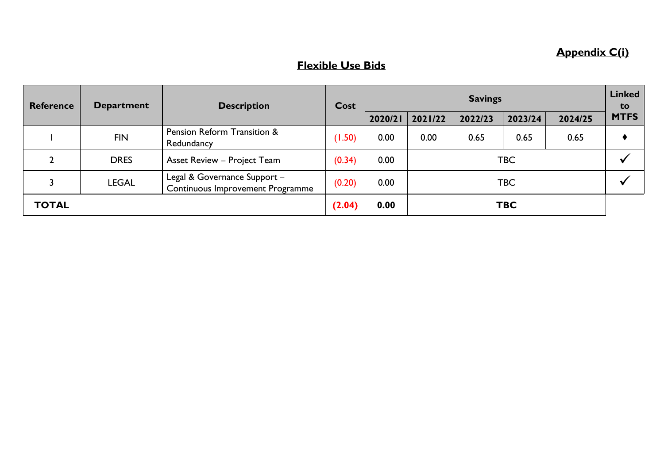## **Appendix C(i)**

## **Flexible Use Bids**

| <b>Reference</b> | <b>Department</b> | <b>Description</b>                                               | Cost   | <b>Savings</b> |         |         |            | <b>Linked</b><br>to |             |
|------------------|-------------------|------------------------------------------------------------------|--------|----------------|---------|---------|------------|---------------------|-------------|
|                  |                   |                                                                  |        | 2020/21        | 2021/22 | 2022/23 | 2023/24    | 2024/25             | <b>MTFS</b> |
|                  | <b>FIN</b>        | Pension Reform Transition &<br>Redundancy                        | (1.50) | 0.00           | 0.00    | 0.65    | 0.65       | 0.65                |             |
|                  | <b>DRES</b>       | <b>Asset Review - Project Team</b>                               | (0.34) | 0.00           | TBC     |         |            |                     |             |
|                  | LEGAL             | Legal & Governance Support -<br>Continuous Improvement Programme | (0.20) | 0.00           | TBC     |         |            |                     |             |
| <b>TOTAL</b>     |                   |                                                                  | (2.04) | 0.00           |         |         | <b>TBC</b> |                     |             |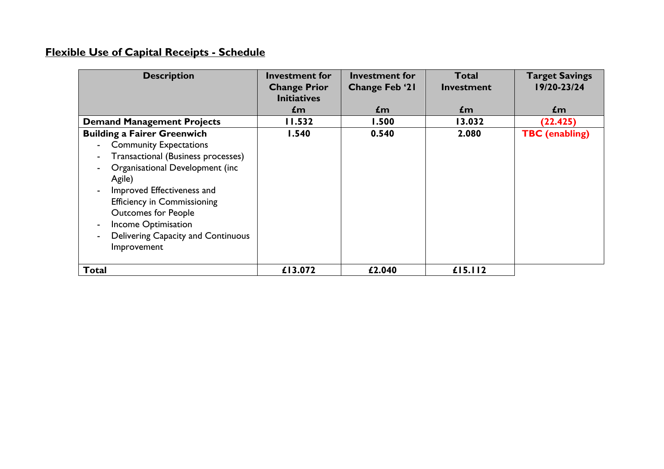## **Flexible Use of Capital Receipts - Schedule**

| <b>Description</b>                                                                                                                                                                                                                                                                                                                                                                 | <b>Investment for</b><br><b>Change Prior</b> | <b>Investment for</b><br><b>Change Feb '21</b> | <b>Total</b><br>Investment | <b>Target Savings</b><br>19/20-23/24 |
|------------------------------------------------------------------------------------------------------------------------------------------------------------------------------------------------------------------------------------------------------------------------------------------------------------------------------------------------------------------------------------|----------------------------------------------|------------------------------------------------|----------------------------|--------------------------------------|
|                                                                                                                                                                                                                                                                                                                                                                                    | <b>Initiatives</b><br>£m                     | $\mathbf{f}$ m                                 | £m                         | £m                                   |
| <b>Demand Management Projects</b>                                                                                                                                                                                                                                                                                                                                                  | 11.532                                       | 1.500                                          | 13.032                     | (22.425)                             |
| <b>Building a Fairer Greenwich</b><br><b>Community Expectations</b><br>Transactional (Business processes)<br>$\blacksquare$<br>Organisational Development (inc<br>$\overline{\phantom{a}}$<br>Agile)<br>Improved Effectiveness and<br>$\blacksquare$<br><b>Efficiency in Commissioning</b><br><b>Outcomes for People</b><br><b>Income Optimisation</b><br>$\overline{\phantom{a}}$ | 1.540                                        | 0.540                                          | 2.080                      | <b>TBC</b> (enabling)                |
| Delivering Capacity and Continuous<br>$\overline{\phantom{a}}$<br>Improvement<br>Total                                                                                                                                                                                                                                                                                             | £13.072                                      | £2.040                                         | £I5.II2                    |                                      |